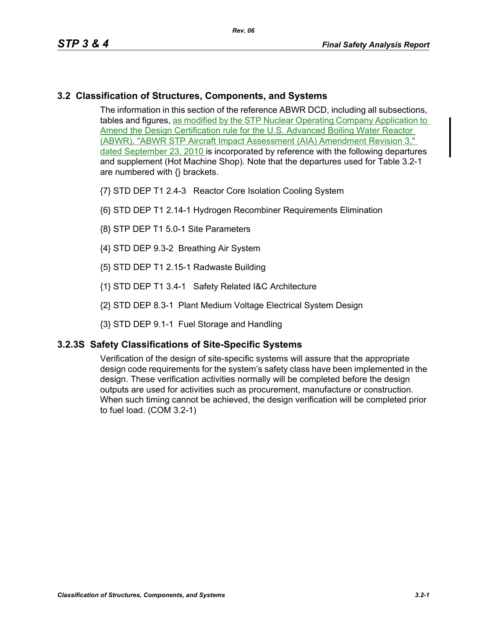## **3.2 Classification of Structures, Components, and Systems**

The information in this section of the reference ABWR DCD, including all subsections, tables and figures, as modified by the STP Nuclear Operating Company Application to Amend the Design Certification rule for the U.S. Advanced Boiling Water Reactor (ABWR), "ABWR STP Aircraft Impact Assessment (AIA) Amendment Revision 3," dated September 23, 2010 is incorporated by reference with the following departures and supplement (Hot Machine Shop). Note that the departures used for Table 3.2-1 are numbered with {} brackets.

- {7} STD DEP T1 2.4-3 Reactor Core Isolation Cooling System
- {6} STD DEP T1 2.14-1 Hydrogen Recombiner Requirements Elimination
- {8} STP DEP T1 5.0-1 Site Parameters
- {4} STD DEP 9.3-2 Breathing Air System
- {5} STD DEP T1 2.15-1 Radwaste Building
- {1} STD DEP T1 3.4-1 Safety Related I&C Architecture
- {2} STD DEP 8.3-1 Plant Medium Voltage Electrical System Design
- {3} STD DEP 9.1-1 Fuel Storage and Handling

## **3.2.3S Safety Classifications of Site-Specific Systems**

Verification of the design of site-specific systems will assure that the appropriate design code requirements for the system's safety class have been implemented in the design. These verification activities normally will be completed before the design outputs are used for activities such as procurement, manufacture or construction. When such timing cannot be achieved, the design verification will be completed prior to fuel load. (COM 3.2-1)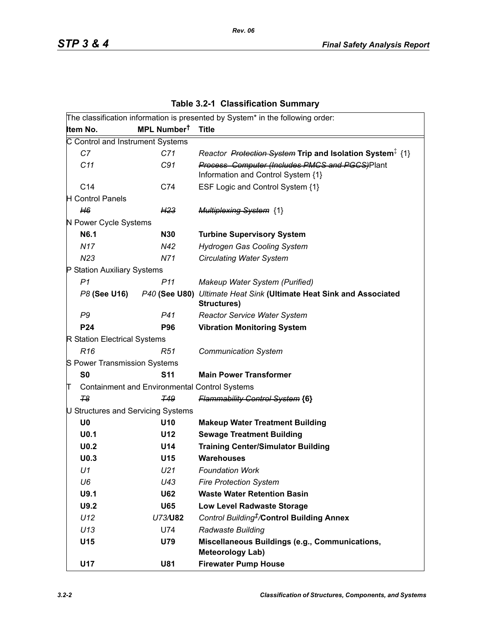|                                  |                                                      | The classification information is presented by System* in the following order:                  |
|----------------------------------|------------------------------------------------------|-------------------------------------------------------------------------------------------------|
| Item No.                         | MPL Number <sup>t</sup>                              | <b>Title</b>                                                                                    |
| C Control and Instrument Systems |                                                      |                                                                                                 |
| C7                               | C71                                                  | Reactor Protection System Trip and Isolation System <sup>‡</sup> {1}                            |
| C11                              | C91                                                  | Process Computer (Includes PMCS and PGCS)Plant<br>Information and Control System {1}            |
| C <sub>14</sub>                  | C74                                                  | ESF Logic and Control System {1}                                                                |
| <b>H</b> Control Panels          |                                                      |                                                                                                 |
| H6                               | H23                                                  | <b>Multiplexing System {1}</b>                                                                  |
| N Power Cycle Systems            |                                                      |                                                                                                 |
| N6.1                             | <b>N30</b>                                           | <b>Turbine Supervisory System</b>                                                               |
| N17                              | N42                                                  | <b>Hydrogen Gas Cooling System</b>                                                              |
| N23                              | N71                                                  | <b>Circulating Water System</b>                                                                 |
| P Station Auxiliary Systems      |                                                      |                                                                                                 |
| P1                               | P <sub>11</sub>                                      | Makeup Water System (Purified)                                                                  |
|                                  |                                                      | P8 (See U16) P40 (See U80) Ultimate Heat Sink (Ultimate Heat Sink and Associated<br>Structures) |
| P <sub>9</sub>                   | P41                                                  | <b>Reactor Service Water System</b>                                                             |
| <b>P24</b>                       | <b>P96</b>                                           | <b>Vibration Monitoring System</b>                                                              |
| R Station Electrical Systems     |                                                      |                                                                                                 |
| R <sub>16</sub>                  | R51                                                  | <b>Communication System</b>                                                                     |
| S Power Transmission Systems     |                                                      |                                                                                                 |
| S <sub>0</sub>                   | <b>S11</b>                                           | <b>Main Power Transformer</b>                                                                   |
| π                                | <b>Containment and Environmental Control Systems</b> |                                                                                                 |
| F <sub>8</sub>                   | <b>T49</b>                                           | <b>Flammability Control System {6}</b>                                                          |
|                                  | U Structures and Servicing Systems                   |                                                                                                 |
| U <sub>0</sub>                   | U <sub>10</sub>                                      | <b>Makeup Water Treatment Building</b>                                                          |
| U <sub>0.1</sub>                 | U12                                                  | <b>Sewage Treatment Building</b>                                                                |
| U <sub>0.2</sub>                 | U14                                                  | <b>Training Center/Simulator Building</b>                                                       |
| U <sub>0.3</sub>                 | U15                                                  | <b>Warehouses</b>                                                                               |
| U1                               | U <sub>21</sub>                                      | <b>Foundation Work</b>                                                                          |
| U6                               | U43                                                  | <b>Fire Protection System</b>                                                                   |
| U9.1                             | <b>U62</b>                                           | <b>Waste Water Retention Basin</b>                                                              |
| U9.2                             | <b>U65</b>                                           | <b>Low Level Radwaste Storage</b>                                                               |
| U12                              | U73/U82                                              | Control Building <sup>#</sup> /Control Building Annex                                           |
| U13                              | U74                                                  | Radwaste Building                                                                               |
| U15                              | U79                                                  | Miscellaneous Buildings (e.g., Communications,<br><b>Meteorology Lab)</b>                       |
| U17                              | <b>U81</b>                                           | <b>Firewater Pump House</b>                                                                     |

**Table 3.2-1 Classification Summary**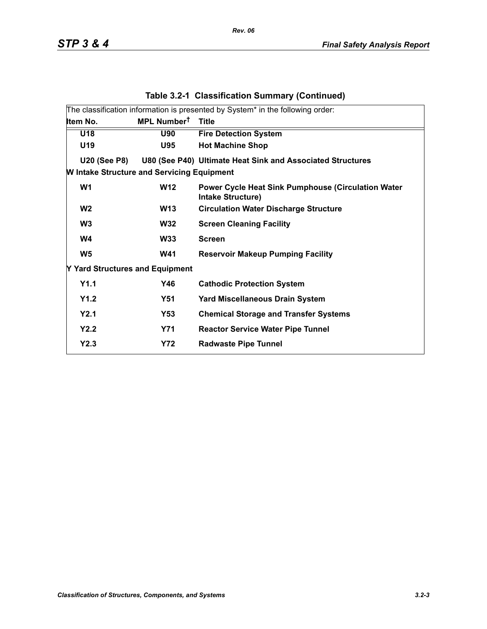|                                                   |                         | rapie 0.2-1 Ulassincation Udiminal y (Uditunded)                                       |
|---------------------------------------------------|-------------------------|----------------------------------------------------------------------------------------|
|                                                   |                         | The classification information is presented by System* in the following order:         |
| Item No.                                          | MPL Number <sup>t</sup> | <b>Title</b>                                                                           |
| U18                                               | <b>U90</b>              | <b>Fire Detection System</b>                                                           |
| U <sub>19</sub>                                   | <b>U95</b>              | <b>Hot Machine Shop</b>                                                                |
| <b>U20 (See P8)</b>                               |                         | U80 (See P40) Ultimate Heat Sink and Associated Structures                             |
| <b>W</b> Intake Structure and Servicing Equipment |                         |                                                                                        |
| W <sub>1</sub>                                    | <b>W12</b>              | <b>Power Cycle Heat Sink Pumphouse (Circulation Water)</b><br><b>Intake Structure)</b> |
| W <sub>2</sub>                                    | <b>W13</b>              | <b>Circulation Water Discharge Structure</b>                                           |
| W <sub>3</sub>                                    | <b>W32</b>              | <b>Screen Cleaning Facility</b>                                                        |
| W4                                                | <b>W33</b>              | <b>Screen</b>                                                                          |
| W <sub>5</sub>                                    | <b>W41</b>              | <b>Reservoir Makeup Pumping Facility</b>                                               |
| Y Yard Structures and Equipment                   |                         |                                                                                        |
| Y1.1                                              | Y46                     | <b>Cathodic Protection System</b>                                                      |
| Y1.2                                              | <b>Y51</b>              | <b>Yard Miscellaneous Drain System</b>                                                 |
| Y2.1                                              | Y53                     | <b>Chemical Storage and Transfer Systems</b>                                           |
| Y2.2                                              | <b>Y71</b>              | <b>Reactor Service Water Pipe Tunnel</b>                                               |
| Y2.3                                              | <b>Y72</b>              | <b>Radwaste Pipe Tunnel</b>                                                            |

## **Table 3.2-1 Classification Summary (Continued)**

*Rev. 06*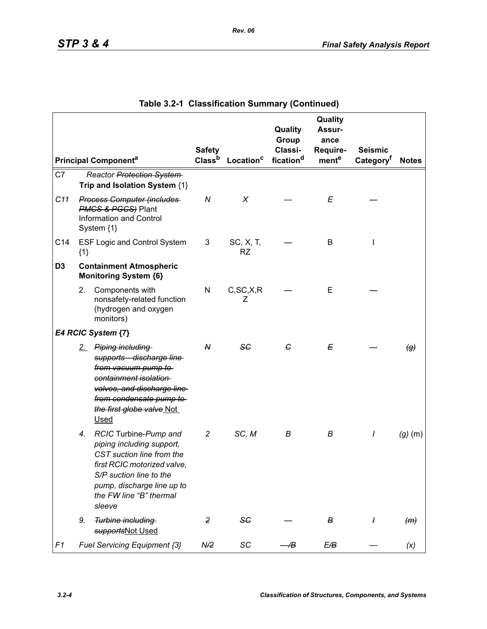|                |       |                                                                                                                                                                                                              | <b>Safety</b>      |                        | Quality<br>Group<br>Classi- | Quality<br>Assur-<br>ance<br>Require- | <b>Seismic</b>        |                            |
|----------------|-------|--------------------------------------------------------------------------------------------------------------------------------------------------------------------------------------------------------------|--------------------|------------------------|-----------------------------|---------------------------------------|-----------------------|----------------------------|
|                |       | <b>Principal Componenta</b>                                                                                                                                                                                  | Class <sup>b</sup> | Location <sup>c</sup>  | fication <sup>d</sup>       | mente                                 | Category <sup>f</sup> | <b>Notes</b>               |
| C7             |       | Reactor Protection System<br>Trip and Isolation System {1}                                                                                                                                                   |                    |                        |                             |                                       |                       |                            |
| C11            |       | <b>Process Computer (includes</b><br><b>PMCS &amp; PGCS</b> ) Plant<br><b>Information and Control</b><br>System {1}                                                                                          | ${\cal N}$         | X                      |                             | E                                     |                       |                            |
| C14            | ${1}$ | <b>ESF Logic and Control System</b>                                                                                                                                                                          | 3                  | SC, X, T,<br><b>RZ</b> |                             | В                                     | $\mathsf{l}$          |                            |
| D <sub>3</sub> |       | <b>Containment Atmospheric</b><br><b>Monitoring System {6}</b>                                                                                                                                               |                    |                        |                             |                                       |                       |                            |
|                | 2.    | Components with<br>nonsafety-related function<br>(hydrogen and oxygen<br>monitors)                                                                                                                           | N                  | C, SC, X, R<br>Z       |                             | E                                     |                       |                            |
|                |       | E4 RCIC System {7}                                                                                                                                                                                           |                    |                        |                             |                                       |                       |                            |
|                |       | 2. Piping including<br>supports discharge line<br>from vacuum pump to<br>containment isolation<br>valves, and discharge line<br>from condensate pump to<br>the first globe valve Not<br><b>Used</b>          | N                  | SG                     | G                           | Е                                     |                       | $\left(\mathcal{G}\right)$ |
|                | 4.    | RCIC Turbine-Pump and<br>piping including support,<br>CST suction line from the<br>first RCIC motorized valve,<br>S/P suction line to the<br>pump, discharge line up to<br>the FW line "B" thermal<br>sleeve | 2                  | SC, M                  | В                           | В                                     | I                     | $(g)$ (m)                  |
|                | 9.    | Turbine including<br>supportsNot Used                                                                                                                                                                        | $\overline{2}$     | SC                     |                             | В                                     | $\overline{1}$        | (m)                        |
| F1             |       | Fuel Servicing Equipment {3}                                                                                                                                                                                 | N/2                | SC                     | Æ                           | E/B                                   |                       | (x)                        |

|  | Table 3.2-1 Classification Summary (Continued) |  |  |
|--|------------------------------------------------|--|--|
|--|------------------------------------------------|--|--|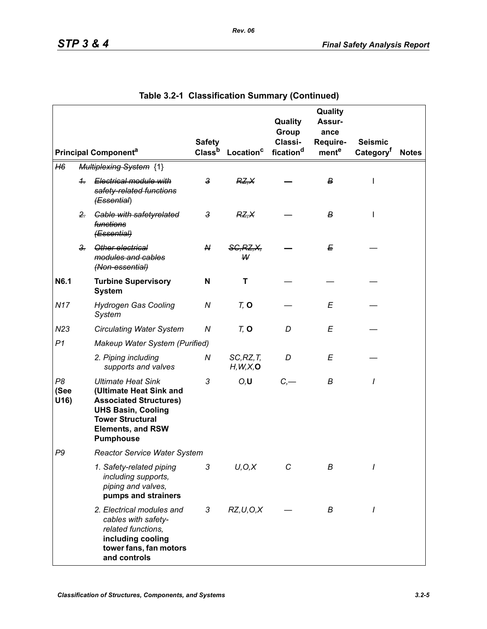|                    |                |                                                                                                                                                                                               | <b>Safety</b>      |                         | Quality<br>Group<br>Classi- | Quality<br><b>Assur-</b><br>ance<br>Require- | <b>Seismic</b>        |              |
|--------------------|----------------|-----------------------------------------------------------------------------------------------------------------------------------------------------------------------------------------------|--------------------|-------------------------|-----------------------------|----------------------------------------------|-----------------------|--------------|
|                    |                | <b>Principal Componenta</b>                                                                                                                                                                   | Class <sup>b</sup> | Location <sup>c</sup>   | fication <sup>d</sup>       | ment <sup>e</sup>                            | Category <sup>t</sup> | <b>Notes</b> |
| H6                 |                | <b>Multiplexing System {1}</b>                                                                                                                                                                |                    |                         |                             |                                              |                       |              |
|                    | $+$            | Electrical module with<br>safety-related functions<br>(Essential)                                                                                                                             | $\overline{3}$     | RZ, X                   |                             | в                                            | I                     |              |
|                    | $2 -$          | <b>Gable with safetyrelated</b><br>functions<br>(Essential)                                                                                                                                   | $\mathbf{3}$       | RZ, X                   |                             | в                                            |                       |              |
|                    | 3 <sub>r</sub> | Other electrical<br>modules and cables<br>(Non-essential)                                                                                                                                     | N                  | <b>SG, RZ, X,</b><br>W  |                             | E                                            |                       |              |
| N6.1               |                | <b>Turbine Supervisory</b><br><b>System</b>                                                                                                                                                   | N                  | т                       |                             |                                              |                       |              |
| <b>N17</b>         |                | <b>Hydrogen Gas Cooling</b><br>System                                                                                                                                                         | ${\cal N}$         | $Tz$ O                  |                             | E                                            |                       |              |
| N23                |                | <b>Circulating Water System</b>                                                                                                                                                               | Ν                  | $Tz$ O                  | D                           | E                                            |                       |              |
| P <sub>1</sub>     |                | Makeup Water System (Purified)                                                                                                                                                                |                    |                         |                             |                                              |                       |              |
|                    |                | 2. Piping including<br>supports and valves                                                                                                                                                    | N                  | SC, RZ, T<br>H, W, X, O | D                           | E                                            |                       |              |
| P8<br>(See<br>U16) |                | <b>Ultimate Heat Sink</b><br>(Ultimate Heat Sink and<br><b>Associated Structures)</b><br><b>UHS Basin, Cooling</b><br><b>Tower Structural</b><br><b>Elements, and RSW</b><br><b>Pumphouse</b> | 3                  | O, U                    | C,                          | B                                            | I                     |              |
| P9                 |                | <b>Reactor Service Water System</b>                                                                                                                                                           |                    |                         |                             |                                              |                       |              |
|                    |                | 1. Safety-related piping<br>including supports,<br>piping and valves,<br>pumps and strainers                                                                                                  | 3                  | U, O, X                 | С                           | В                                            |                       |              |
|                    |                | 2. Electrical modules and<br>cables with safety-<br>related functions,<br>including cooling<br>tower fans, fan motors<br>and controls                                                         | 3                  | RZ, U, O, X             |                             | В                                            | I                     |              |

|  | Table 3.2-1 Classification Summary (Continued) |  |  |
|--|------------------------------------------------|--|--|
|--|------------------------------------------------|--|--|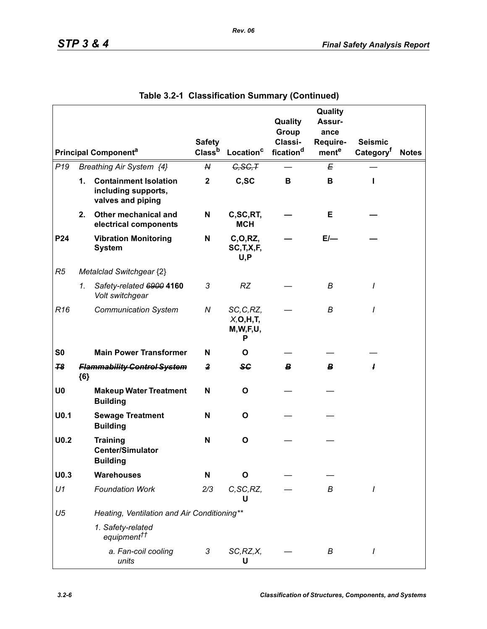|                  |               |                                                                          |                                     |                                              | Quality<br>Group                 | Quality<br>Assur-<br>ance |                                         |              |
|------------------|---------------|--------------------------------------------------------------------------|-------------------------------------|----------------------------------------------|----------------------------------|---------------------------|-----------------------------------------|--------------|
|                  |               | <b>Principal Componenta</b>                                              | <b>Safety</b><br>Class <sup>b</sup> | Location <sup>c</sup>                        | Classi-<br>fication <sup>d</sup> | Require-<br>mente         | <b>Seismic</b><br>Category <sup>t</sup> | <b>Notes</b> |
| P <sub>19</sub>  |               | Breathing Air System {4}                                                 | N                                   | G, SG, T                                     |                                  | Е                         |                                         |              |
|                  | $\mathbf 1$ . | <b>Containment Isolation</b><br>including supports,<br>valves and piping | $\mathbf 2$                         | C, SC                                        | B                                | B                         | п                                       |              |
|                  | 2.            | Other mechanical and<br>electrical components                            | N                                   | C,SC,RT,<br><b>MCH</b>                       |                                  | Е                         |                                         |              |
| P24              |               | <b>Vibration Monitoring</b><br><b>System</b>                             | N                                   | C, O, RZ,<br>SC, T, X, F,<br>U, P            |                                  | $E/-$                     |                                         |              |
| R5               |               | Metalclad Switchgear {2}                                                 |                                     |                                              |                                  |                           |                                         |              |
|                  | 1.            | Safety-related 6900 4160<br>Volt switchgear                              | 3                                   | <b>RZ</b>                                    |                                  | B                         | $\prime$                                |              |
| R <sub>16</sub>  |               | <b>Communication System</b>                                              | N                                   | SC, C, RZ,<br>X, O, H, T<br>M, W, F, U,<br>Р |                                  | В                         | $\prime$                                |              |
| S <sub>0</sub>   |               | <b>Main Power Transformer</b>                                            | N                                   | O                                            |                                  |                           |                                         |              |
| 78               | ${6}$         | <b>Flammability Control System</b>                                       | $\mathbf{2}$                        | <b>SG</b>                                    | В                                | B                         | ł                                       |              |
| U <sub>0</sub>   |               | <b>Makeup Water Treatment</b><br><b>Building</b>                         | N                                   | O                                            |                                  |                           |                                         |              |
| U <sub>0.1</sub> |               | <b>Sewage Treatment</b><br><b>Building</b>                               | N                                   | O                                            |                                  |                           |                                         |              |
| U <sub>0.2</sub> |               | <b>Training</b><br><b>Center/Simulator</b><br><b>Building</b>            | N                                   | $\mathbf{o}$                                 |                                  |                           |                                         |              |
| U <sub>0.3</sub> |               | <b>Warehouses</b>                                                        | N                                   | O                                            |                                  |                           |                                         |              |
| U1               |               | <b>Foundation Work</b>                                                   | 2/3                                 | C, SC, RZ,<br>U                              |                                  | В                         | I                                       |              |
| U <sub>5</sub>   |               | Heating, Ventilation and Air Conditioning**                              |                                     |                                              |                                  |                           |                                         |              |
|                  |               | 1. Safety-related<br>equipment <sup>††</sup>                             |                                     |                                              |                                  |                           |                                         |              |
|                  |               | a. Fan-coil cooling<br>units                                             | 3                                   | SC, RZ, X,<br>U                              |                                  | В                         | I                                       |              |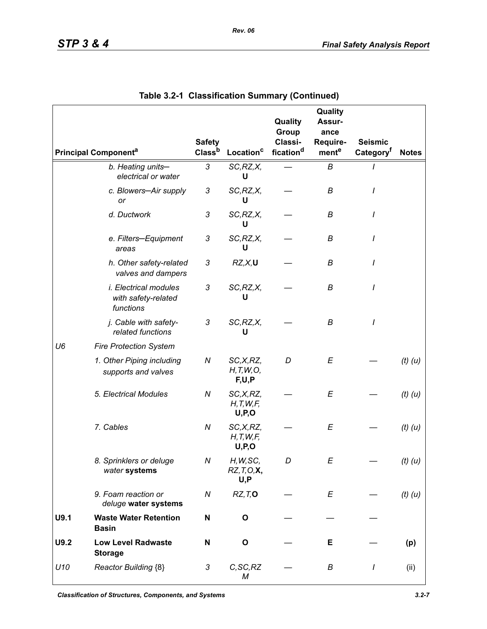|                |                                                                  | <b>Safety</b>      |                                      | Quality<br>Group<br>Classi- | Quality<br>Assur-<br>ance<br>Require- | <b>Seismic</b>        |              |
|----------------|------------------------------------------------------------------|--------------------|--------------------------------------|-----------------------------|---------------------------------------|-----------------------|--------------|
|                | <b>Principal Component<sup>a</sup></b>                           | Class <sup>b</sup> | Location <sup>c</sup>                | fication <sup>d</sup>       | mente                                 | Category <sup>t</sup> | <b>Notes</b> |
|                | b. Heating units-<br>electrical or water                         | 3                  | SC, RZ, X,<br>U                      |                             | B                                     |                       |              |
|                | c. Blowers-Air supply<br>or                                      | 3                  | SC, RZ, X,<br>U                      |                             | В                                     | I                     |              |
|                | d. Ductwork                                                      | 3                  | SC, RZ, X,<br>U                      |                             | В                                     |                       |              |
|                | e. Filters-Equipment<br>areas                                    | 3                  | SC, RZ, X,<br>U                      |                             | В                                     |                       |              |
|                | h. Other safety-related<br>valves and dampers                    | 3                  | RZ, X, U                             |                             | В                                     |                       |              |
|                | <i>i. Electrical modules</i><br>with safety-related<br>functions | 3                  | SC, RZ, X,<br>U                      |                             | B                                     | I                     |              |
|                | j. Cable with safety-<br>related functions                       | 3                  | SC, RZ, X,<br>U                      |                             | B                                     | I                     |              |
| U <sub>6</sub> | <b>Fire Protection System</b>                                    |                    |                                      |                             |                                       |                       |              |
|                | 1. Other Piping including<br>supports and valves                 | N                  | SC,X,RZ,<br>H, T, W, O,<br>F,U,P     | D                           | E                                     |                       | $(t)$ $(u)$  |
|                | 5. Electrical Modules                                            | N                  | SC,X,RZ,<br>H, T, W, F,<br>U, P, O   |                             | E                                     |                       | $(t)$ $(u)$  |
|                | 7. Cables                                                        | N                  | SC,X,RZ,<br>H, T, W, F,<br>U, P, O   |                             | E                                     |                       | $(t)$ $(u)$  |
|                | 8. Sprinklers or deluge<br>water systems                         | Ν                  | H, W, SC,<br>$RZ, T, O, X$ ,<br>U, P | D                           | Е                                     |                       | $(t)$ $(u)$  |
|                | 9. Foam reaction or<br>deluge water systems                      | N                  | RZ, T, O                             |                             | E                                     |                       | $(t)$ $(u)$  |
| U9.1           | <b>Waste Water Retention</b><br><b>Basin</b>                     | N                  | $\mathbf{o}$                         |                             |                                       |                       |              |
| U9.2           | <b>Low Level Radwaste</b><br><b>Storage</b>                      | N                  | $\mathbf{o}$                         |                             | Е                                     |                       | (p)          |
| U10            | Reactor Building {8}                                             | 3                  | C, SC, RZ<br>М                       |                             | В                                     | I                     | (ii)         |

|  | Table 3.2-1 Classification Summary (Continued) |  |  |
|--|------------------------------------------------|--|--|
|--|------------------------------------------------|--|--|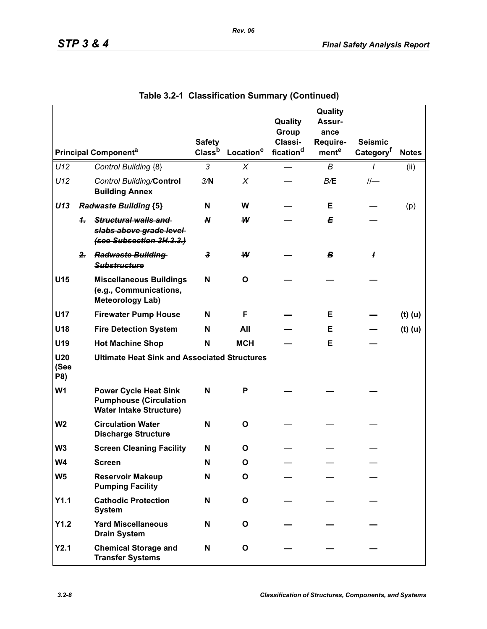|                                |              |                                                                                                 | <b>Safety</b>      |                       | Quality<br>Group<br>Classi- | Quality<br>Assur-<br>ance<br>Require- | <b>Seismic</b>        |              |
|--------------------------------|--------------|-------------------------------------------------------------------------------------------------|--------------------|-----------------------|-----------------------------|---------------------------------------|-----------------------|--------------|
|                                |              | <b>Principal Componenta</b>                                                                     | Class <sup>b</sup> | Location <sup>c</sup> | fication <sup>d</sup>       | ment <sup>e</sup>                     | Category <sup>f</sup> | <b>Notes</b> |
| U12                            |              | Control Building {8}                                                                            | 3                  | X                     |                             | B                                     | 1                     | (ii)         |
| U12                            |              | <b>Control Building/Control</b><br><b>Building Annex</b>                                        | 3/N                | X                     |                             | B/E                                   |                       |              |
| U13                            |              | <b>Radwaste Building {5}</b>                                                                    | N                  | W                     |                             | Е                                     |                       | (p)          |
|                                | 4.           | Structural walls and<br>slabs above grade level<br>(see Subsection 3H.3.3.)                     | $\boldsymbol{N}$   | W                     |                             | E                                     |                       |              |
|                                | $\mathbf{r}$ | <b>Radwaste Building</b><br><b>Substructure</b>                                                 | 3                  | ₩                     |                             | B                                     | 1                     |              |
| U15                            |              | <b>Miscellaneous Buildings</b><br>(e.g., Communications,<br><b>Meteorology Lab)</b>             | N                  | O                     |                             |                                       |                       |              |
| <b>U17</b>                     |              | <b>Firewater Pump House</b>                                                                     | N                  | F                     |                             | Е                                     |                       | $(t)$ (u)    |
| U18                            |              | <b>Fire Detection System</b>                                                                    | N                  | All                   |                             | Е                                     |                       | $(t)$ (u)    |
| U19                            |              | <b>Hot Machine Shop</b>                                                                         | N                  | <b>MCH</b>            |                             | Е                                     |                       |              |
| U <sub>20</sub><br>(See<br>P8) |              | <b>Ultimate Heat Sink and Associated Structures</b>                                             |                    |                       |                             |                                       |                       |              |
| W <sub>1</sub>                 |              | <b>Power Cycle Heat Sink</b><br><b>Pumphouse (Circulation</b><br><b>Water Intake Structure)</b> | N                  | P                     |                             |                                       |                       |              |
| W <sub>2</sub>                 |              | <b>Circulation Water</b><br><b>Discharge Structure</b>                                          | N                  | O                     |                             |                                       |                       |              |
| W <sub>3</sub>                 |              | <b>Screen Cleaning Facility</b>                                                                 | N                  | O                     |                             |                                       |                       |              |
| W4                             |              | Screen                                                                                          | N                  | O                     |                             |                                       |                       |              |
| W <sub>5</sub>                 |              | <b>Reservoir Makeup</b><br><b>Pumping Facility</b>                                              | N                  | O                     |                             |                                       |                       |              |
| Y1.1                           |              | <b>Cathodic Protection</b><br><b>System</b>                                                     | N                  | O                     |                             |                                       |                       |              |
| Y1.2                           |              | <b>Yard Miscellaneous</b><br><b>Drain System</b>                                                | N                  | O                     |                             |                                       |                       |              |
| Y2.1                           |              | <b>Chemical Storage and</b><br><b>Transfer Systems</b>                                          | N                  | O                     |                             |                                       |                       |              |

| Table 3.2-1 Classification Summary (Continued) |  |  |  |  |
|------------------------------------------------|--|--|--|--|
|------------------------------------------------|--|--|--|--|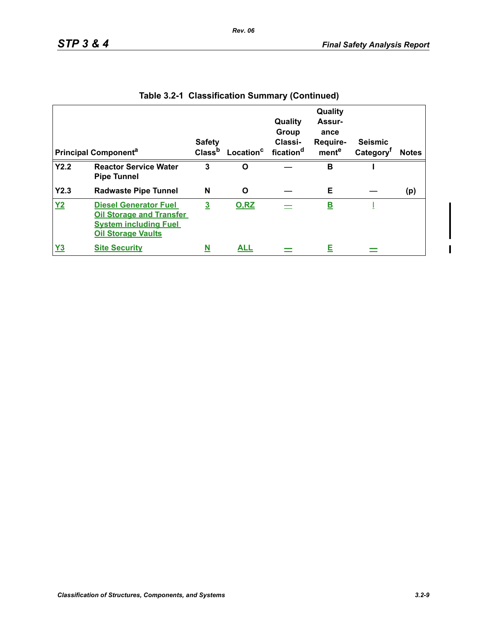|                | <b>Principal Component<sup>a</sup></b>                                                                                       | <b>Safety</b>  | Class <sup>b</sup> Location <sup>c</sup> fication <sup>d</sup> | Quality<br>Group<br>Classi- | Quality<br>Assur-<br>ance<br>Require-<br>mente | <b>Seismic</b><br>Category <sup>f</sup> | <b>Notes</b> |
|----------------|------------------------------------------------------------------------------------------------------------------------------|----------------|----------------------------------------------------------------|-----------------------------|------------------------------------------------|-----------------------------------------|--------------|
| Y2.2           | <b>Reactor Service Water</b><br><b>Pipe Tunnel</b>                                                                           | 3              | O                                                              |                             | B                                              |                                         |              |
| Y2.3           | <b>Radwaste Pipe Tunnel</b>                                                                                                  | N              | O                                                              |                             | Е                                              |                                         | (p)          |
| Y <sub>2</sub> | <b>Diesel Generator Fuel</b><br><b>Oil Storage and Transfer</b><br><b>System including Fuel</b><br><b>Oil Storage Vaults</b> | $\overline{3}$ | <b>O.RZ</b>                                                    |                             | <u>B</u>                                       |                                         |              |
| <u>Y3</u>      | <b>Site Security</b>                                                                                                         | N              | <b>ALL</b>                                                     |                             | E                                              |                                         |              |

|  | Table 3.2-1 Classification Summary (Continued) |  |  |
|--|------------------------------------------------|--|--|
|--|------------------------------------------------|--|--|

 $\blacksquare$